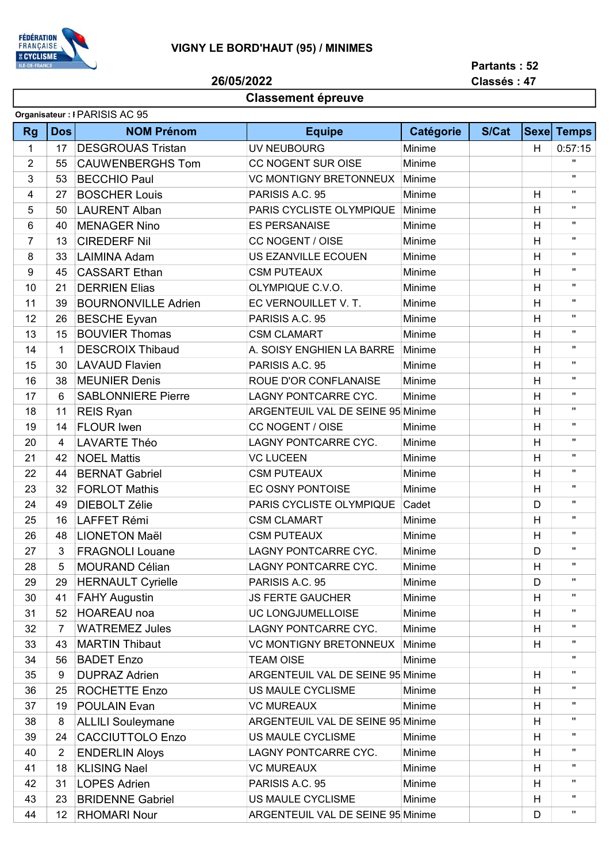

26/05/2022

Partants: 52 Classés: 47

## Classement épreuve

| Organisateur : I PARISIS AC 95 |  |
|--------------------------------|--|
|                                |  |

| <b>Rg</b>      | <b>Dos</b>     | <b>NOM Prénom</b>          | <b>Equipe</b>                     | Catégorie | S/Cat |    | Sexe Temps   |
|----------------|----------------|----------------------------|-----------------------------------|-----------|-------|----|--------------|
| $\mathbf{1}$   | 17             | <b>DESGROUAS Tristan</b>   | UV NEUBOURG<br>Minime             |           |       | H  | 0:57:15      |
| $\overline{2}$ | 55             | <b>CAUWENBERGHS Tom</b>    | CC NOGENT SUR OISE<br>Minime      |           |       |    | $\mathbf{u}$ |
| 3              | 53             | <b>BECCHIO Paul</b>        | <b>VC MONTIGNY BRETONNEUX</b>     | Minime    |       |    | $\mathbf{H}$ |
| 4              | 27             | <b>BOSCHER Louis</b>       | PARISIS A.C. 95                   | Minime    |       | H  | $\mathbf{H}$ |
| 5              | 50             | <b>LAURENT Alban</b>       | PARIS CYCLISTE OLYMPIQUE          | Minime    |       | H  | $\mathbf{H}$ |
| 6              | 40             | <b>MENAGER Nino</b>        | <b>ES PERSANAISE</b>              | Minime    |       | H  | $\mathbf{H}$ |
| $\overline{7}$ | 13             | <b>CIREDERF Nil</b>        | CC NOGENT / OISE                  | Minime    |       | H  | $\mathbf{H}$ |
| 8              | 33             | <b>LAIMINA Adam</b>        | US EZANVILLE ECOUEN               | Minime    |       | H  | $\mathbf{H}$ |
| 9              | 45             | <b>CASSART</b> Ethan       | <b>CSM PUTEAUX</b>                | Minime    |       | H  | $\mathbf{H}$ |
| 10             | 21             | <b>DERRIEN Elias</b>       | OLYMPIQUE C.V.O.                  | Minime    |       | H  | $\mathbf{H}$ |
| 11             | 39             | <b>BOURNONVILLE Adrien</b> | EC VERNOUILLET V. T.              | Minime    |       | H  | $\mathbf{H}$ |
| 12             | 26             | <b>BESCHE Eyvan</b>        | PARISIS A.C. 95                   | Minime    |       | H  | $\mathbf{H}$ |
| 13             | 15             | <b>BOUVIER Thomas</b>      | <b>CSM CLAMART</b>                | Minime    |       | H  | $\mathbf{H}$ |
| 14             | 1              | <b>DESCROIX Thibaud</b>    | A. SOISY ENGHIEN LA BARRE         | Minime    |       | H  | $\mathbf{H}$ |
| 15             | 30             | <b>LAVAUD Flavien</b>      | PARISIS A.C. 95                   | Minime    |       | H  | $\mathbf{H}$ |
| 16             | 38             | <b>MEUNIER Denis</b>       | ROUE D'OR CONFLANAISE             | Minime    |       | H  | $\mathbf{H}$ |
| 17             | $6\phantom{1}$ | <b>SABLONNIERE Pierre</b>  | LAGNY PONTCARRE CYC.              | Minime    |       | H  | $\mathbf{H}$ |
| 18             | 11             | <b>REIS Ryan</b>           | ARGENTEUIL VAL DE SEINE 95 Minime |           |       | H  | $\mathbf{H}$ |
| 19             | 14             | <b>FLOUR Iwen</b>          | CC NOGENT / OISE                  | Minime    |       | H  | $\mathbf{H}$ |
| 20             | 4              | <b>LAVARTE Théo</b>        | LAGNY PONTCARRE CYC.              | Minime    |       | H  | $\mathbf{H}$ |
| 21             | 42             | <b>NOEL Mattis</b>         | <b>VC LUCEEN</b>                  | Minime    |       | H  | $\mathbf{H}$ |
| 22             | 44             | <b>BERNAT Gabriel</b>      | <b>CSM PUTEAUX</b>                | Minime    |       | H  | $\mathbf{H}$ |
| 23             | 32             | <b>FORLOT Mathis</b>       | EC OSNY PONTOISE                  | Minime    |       | H  | $\mathbf{H}$ |
| 24             | 49             | <b>DIEBOLT Zélie</b>       | PARIS CYCLISTE OLYMPIQUE          | Cadet     |       | D  | $\mathbf{H}$ |
| 25             | 16             | <b>LAFFET Rémi</b>         | <b>CSM CLAMART</b>                | Minime    |       | H  | $\mathbf{H}$ |
| 26             | 48             | <b>LIONETON Maël</b>       | <b>CSM PUTEAUX</b>                | Minime    |       | H  | $\mathbf{H}$ |
| 27             | 3              | <b>FRAGNOLI Louane</b>     | LAGNY PONTCARRE CYC.              | Minime    |       | D  | $\mathbf{H}$ |
| 28             | 5              | <b>MOURAND Célian</b>      | LAGNY PONTCARRE CYC.              | Minime    |       | Н  | $\mathbf{H}$ |
| 29             |                | 29 HERNAULT Cyrielle       | PARISIS A.C. 95                   | Minime    |       | D  |              |
| 30             | 41             | <b>FAHY Augustin</b>       | <b>JS FERTE GAUCHER</b>           | Minime    |       | H  | π.           |
| 31             | 52             | <b>HOAREAU</b> noa         | UC LONGJUMELLOISE                 | Minime    |       | H. | π.           |
| 32             | $\overline{7}$ | <b>WATREMEZ Jules</b>      | LAGNY PONTCARRE CYC.              | Minime    |       | H. |              |
| 33             | 43             | <b>MARTIN Thibaut</b>      | <b>VC MONTIGNY BRETONNEUX</b>     | Minime    |       | H. |              |
| 34             | 56             | <b>BADET Enzo</b>          | <b>TEAM OISE</b>                  | Minime    |       |    |              |
| 35             | 9              | <b>DUPRAZ Adrien</b>       | ARGENTEUIL VAL DE SEINE 95 Minime |           |       | H. |              |
| 36             | 25             | <b>ROCHETTE Enzo</b>       | US MAULE CYCLISME                 | Minime    |       | H. |              |
| 37             | 19             | <b>POULAIN Evan</b>        | <b>VC MUREAUX</b>                 | Minime    |       | H  |              |
| 38             | 8              | <b>ALLILI Souleymane</b>   | ARGENTEUIL VAL DE SEINE 95 Minime |           |       | H  | $\mathbf{H}$ |
| 39             | 24             | <b>CACCIUTTOLO Enzo</b>    | US MAULE CYCLISME                 | Minime    |       | H. |              |
| 40             | $\overline{2}$ | <b>ENDERLIN Aloys</b>      | LAGNY PONTCARRE CYC.              | Minime    |       | H  | $\mathbf{H}$ |
| 41             | 18             | <b>KLISING Nael</b>        | <b>VC MUREAUX</b>                 | Minime    |       | H  |              |
| 42             | 31             | <b>LOPES Adrien</b>        | PARISIS A.C. 95                   | Minime    |       | H  | $\mathbf{H}$ |
| 43             | 23             | <b>BRIDENNE Gabriel</b>    | US MAULE CYCLISME                 | Minime    |       | H  | $\mathbf{H}$ |
| 44             | 12             | <b>RHOMARI Nour</b>        | ARGENTEUIL VAL DE SEINE 95 Minime |           |       | D  | $\mathbf{H}$ |